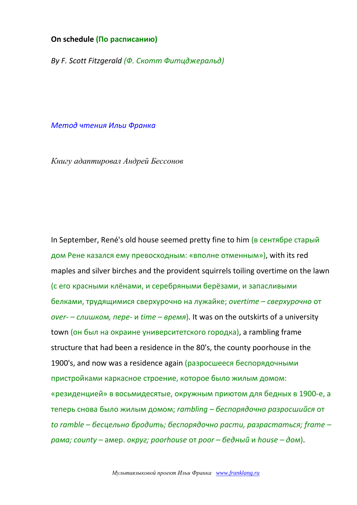## **On schedule (По расписанию)**

*By F. Scott Fitzgerald (Ф. Скотт Фитцджеральд)*

*Метод чтения Ильи Франка*

*Книгу адаптировал Андрей Бессонов*

In September, René's old house seemed pretty fine to him (в сентябре старый дом Рене казался ему превосходным: «вполне отменным»), with its red maples and silver birches and the provident squirrels toiling overtime on the lawn (с его красными клёнами, и серебряными берёзами, и запасливыми белками, трудящимися сверхурочно на лужайке; *overtime – сверхурочно* от *over- – слишком, пере-* и *time – время*). It was on the outskirts of a university town (он был на окраине университетского городка), a rambling frame structure that had been a residence in the 80's, the county poorhouse in the 1900's, and now was a residence again (разросшееся беспорядочными пристройками каркасное строение, которое было жилым домом: «резиденцией» в восьмидесятые, окружным приютом для бедных в 1900-е, а теперь снова было жилым домом; *rambling – беспорядочно разросшийся* от *to ramble – бесцельно бродить; беспорядочно расти, разрастаться; frame – рама; county –* амер. *округ; poorhouse* от *poor – бедный* и *house – дом*).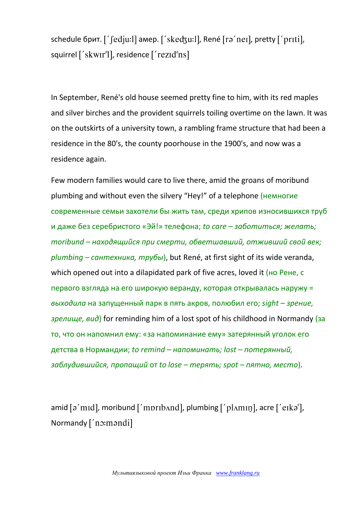schedule брит. [' fedju: l] амер. [' skedzu: l], René [ra' neɪ], pretty [' prɪti], squirrel ['skwɪr'l], residence ['rezid'ns]

In September, René's old house seemed pretty fine to him, with its red maples and silver birches and the provident squirrels toiling overtime on the lawn. It was on the outskirts of a university town, a rambling frame structure that had been a residence in the 80's, the county poorhouse in the 1900's, and now was a residence again.

Few modern families would care to live there, amid the groans of moribund plumbing and without even the silvery "Hey!" of a telephone (немногие современные семьи захотели бы жить там, среди хрипов износившихся труб и даже без серебристого «Эй!» телефона; *to care – заботиться; желать; moribund – находящийся при смерти, обветшавший, отживший свой век; plumbing – сантехника, трубы*), but René, at first sight of its wide veranda, which opened out into a dilapidated park of five acres, loved it (но Рене, с первого взгляда на его широкую веранду, которая открывалась наружу = *выходила* на запущенный парк в пять акров, полюбил его; *sight – зрение, зрелище, вид*) for reminding him of a lost spot of his childhood in Normandy (за то, что он напомнил ему: «за напоминание ему» затерянный уголок его детства в Нормандии; *to remind – напоминать; lost – потерянный, заблудившийся, пропащий* от *to lose – терять; spot – пятно, место*).

amid  $\lceil 2 \text{ and } \text{ mod } 2 \rceil$ , moribund  $\lceil 2 \text{ and } \text{ mod } 2 \rceil$ , plumbing  $\lceil 2 \text{ and } \text{ mod } 2 \rceil$ , acre  $\lceil 2 \text{ and } \text{ mod } 2 \rceil$ , Normandy ['no:mandi]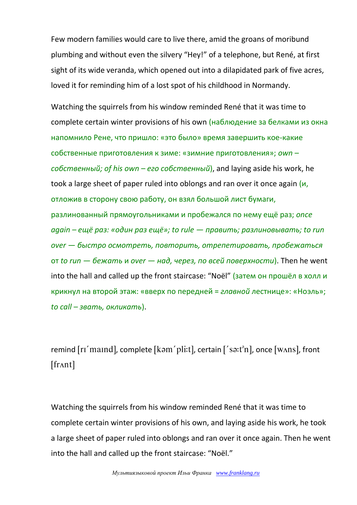Few modern families would care to live there, amid the groans of moribund plumbing and without even the silvery "Hey!" of a telephone, but René, at first sight of its wide veranda, which opened out into a dilapidated park of five acres, loved it for reminding him of a lost spot of his childhood in Normandy.

Watching the squirrels from his window reminded René that it was time to complete certain winter provisions of his own (наблюдение за белками из окна напомнило Рене, что пришло: «это было» время завершить кое-какие собственные приготовления к зиме: «зимние приготовления»; *own – собственный; of his own – его собственный*), and laying aside his work, he took a large sheet of paper ruled into oblongs and ran over it once again (и, отложив в сторону свою работу, он взял большой лист бумаги, разлинованный прямоугольниками и пробежался по нему ещё раз; *once again – ещё раз: «один раз ещё»; to rule — править; разлиновывать; to run over — быстро осмотреть, повторить, отрепетировать, пробежаться*  от *to run — бежать* и *over — над, через, по всей поверхности*). Then he went into the hall and called up the front staircase: "Noël" (затем он прошёл в холл и крикнул на второй этаж: «вверх по передней = *главной* лестнице»: «Ноэль»; *to call – звать, окликать*).

remind [rɪ'maɪnd], complete [kəm'pli:t], certain ['sa:t<sup>a</sup>n], once [wʌns], front  $[frant]$ 

Watching the squirrels from his window reminded René that it was time to complete certain winter provisions of his own, and laying aside his work, he took a large sheet of paper ruled into oblongs and ran over it once again. Then he went into the hall and called up the front staircase: "Noël."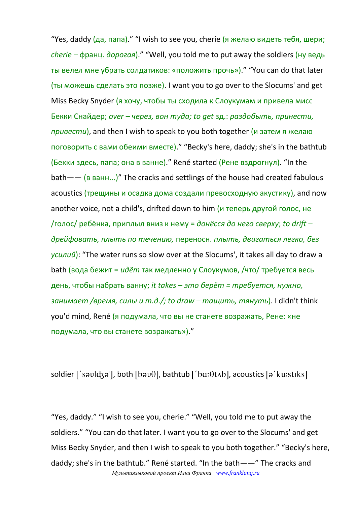"Yes, daddy (да, папа)." "I wish to see you, cherie (я желаю видеть тебя, шери; *cherie –* франц. *дорогая*)." "Well, you told me to put away the soldiers (ну ведь ты велел мне убрать солдатиков: «положить прочь»)." "You can do that later (ты можешь сделать это позже). I want you to go over to the Slocums' and get Miss Becky Snyder (я хочу, чтобы ты сходила к Слоукумам и привела мисс Бекки Снайдер; *over – через, вон туда; to get* зд.: *раздобыть, принести, привести*), and then I wish to speak to you both together (и затем я желаю поговорить с вами обеими вместе)." "Becky's here, daddy; she's in the bathtub (Бекки здесь, папа; она в ванне)." René started (Рене вздрогнул). "In the  $b$ ath —— (в ванн...)" The cracks and settlings of the house had created fabulous acoustics (трещины и осадка дома создали превосходную акустику), and now another voice, not a child's, drifted down to him (и теперь другой голос, не /голос/ ребёнка, приплыл вниз к нему = *донёсся до него сверху*; *to drift – дрейфовать, плыть по течению,* переносн. *плыть, двигаться легко, без усилий*): "The water runs so slow over at the Slocums', it takes all day to draw a bath (вода бежит = *идёт* так медленно у Слоукумов, /что/ требуется весь день, чтобы набрать ванну; *it takes – это берёт = требуется, нужно, занимает /время, силы и т.д./; to draw – тащить, тянуть*). I didn't think you'd mind, René (я подумала, что вы не станете возражать, Рене: «не подумала, что вы станете возражать»)."

soldier  $[$ 'savld $\mathfrak{z}$ a'], both  $[\mathfrak{b}$ av $\theta]$ , bathtub  $[$ 'b $\mathfrak{a}:\theta$ t $\Lambda$ b], acoustics  $[\mathfrak{a}'$ ku:st $\mathfrak{u}$ ks]

*Мультиязыковой проект Ильи Франка [www.franklang.ru](http://www.franklang.ru/)* "Yes, daddy." "I wish to see you, cherie." "Well, you told me to put away the soldiers." "You can do that later. I want you to go over to the Slocums' and get Miss Becky Snyder, and then I wish to speak to you both together." "Becky's here, daddy; she's in the bathtub." René started. "In the bath——" The cracks and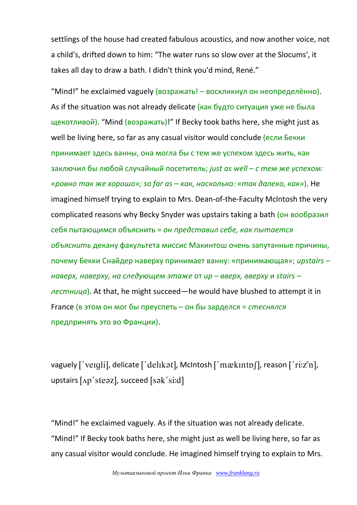settlings of the house had created fabulous acoustics, and now another voice, not a child's, drifted down to him: "The water runs so slow over at the Slocums', it takes all day to draw a bath. I didn't think you'd mind, René."

"Mind!" he exclaimed vaguely (возражать! – воскликнул он неопределённо). As if the situation was not already delicate (как будто ситуация уже не была щекотливой). "Mind (возражать)!" If Becky took baths here, she might just as well be living here, so far as any casual visitor would conclude (если Бекки принимает здесь ванны, она могла бы с тем же успехом здесь жить, как заключил бы любой случайный посетитель; *just as well – с тем же успехом: «ровно так же хорошо»; so far as – как, насколько: «так далеко, как»*). He imagined himself trying to explain to Mrs. Dean-of-the-Faculty McIntosh the very complicated reasons why Becky Snyder was upstairs taking a bath (он вообразил себя пытающимся объяснить = *он представил себе, как пытается объяснить* декану факультета миссис Макинтош очень запутанные причины, почему Бекки Снайдер наверху принимает ванну: «принимающая»; *upstairs – наверх, наверху, на следующем этаже* от *up – вверх, вверху* и *stairs – лестница*). At that, he might succeed—he would have blushed to attempt it in France (в этом он мог бы преуспеть – он бы зарделся = *стеснялся* предпринять это во Франции).

vaguely ['veɪqli], delicate ['delɪkət], McIntosh ['mækɪntɒʃ], reason ['ri:z<sup>o</sup>n], upstairs  $[$ Ap'steaz], succeed  $[s$ ak'si:d]

"Mind!" he exclaimed vaguely. As if the situation was not already delicate. "Mind!" If Becky took baths here, she might just as well be living here, so far as any casual visitor would conclude. He imagined himself trying to explain to Mrs.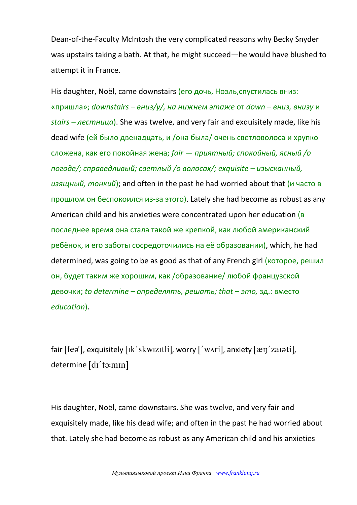Dean-of-the-Faculty McIntosh the very complicated reasons why Becky Snyder was upstairs taking a bath. At that, he might succeed—he would have blushed to attempt it in France.

His daughter, Noël, came downstairs (его дочь, Ноэль,спустилась вниз: «пришла»; *downstairs – вниз/у/, на нижнем этаже* от *down – вниз, внизу* и *stairs – лестница*). She was twelve, and very fair and exquisitely made, like his dead wife (ей было двенадцать, и /она была/ очень светловолоса и хрупко сложена, как его покойная жена; *fair — приятный; спокойный, ясный /о погоде/; справедливый; светлый /о волосах/; exquisite – изысканный, изящный, тонкий*); and often in the past he had worried about that (и часто в прошлом он беспокоился из-за этого). Lately she had become as robust as any American child and his anxieties were concentrated upon her education (в последнее время она стала такой же крепкой, как любой американский ребёнок, и его заботы сосредоточились на её образовании), which, he had determined, was going to be as good as that of any French girl (которое, решил он, будет таким же хорошим, как /образование/ любой французской девочки; *to determine – определять, решать; that – это,* зд.: вместо *education*).

fair  $[fea^r]$ , exquisitely  $[ik'skwzztil]$ , worry  $['wari]$ , anxiety  $[æg'zaIəti]$ , determine [dɪ'ta:mɪn]

His daughter, Noël, came downstairs. She was twelve, and very fair and exquisitely made, like his dead wife; and often in the past he had worried about that. Lately she had become as robust as any American child and his anxieties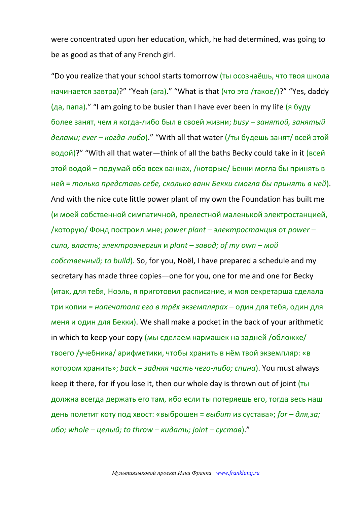were concentrated upon her education, which, he had determined, was going to be as good as that of any French girl.

"Do you realize that your school starts tomorrow (ты осознаёшь, что твоя школа начинается завтра)?" "Yeah (ага)." "What is that (что это /такое/)?" "Yes, daddy (да, папа)." "I am going to be busier than I have ever been in my life (я буду более занят, чем я когда-либо был в своей жизни; *busy – занятой, занятый делами; ever – когда-либо*)." "With all that water (/ты будешь занят/ всей этой водой)?" "With all that water—think of all the baths Becky could take in it (всей этой водой – подумай обо всех ваннах, /которые/ Бекки могла бы принять в ней = *только представь себе, сколько ванн Бекки смогла бы принять в ней*). And with the nice cute little power plant of my own the Foundation has built me (и моей собственной симпатичной, прелестной маленькой электростанцией, /которую/ Фонд построил мне; *power plant – электростанция* от *power – сила, власть; электроэнергия* и *plant – завод; of my own – мой собственный; to build*). So, for you, Noël, I have prepared a schedule and my secretary has made three copies—one for you, one for me and one for Becky (итак, для тебя, Ноэль, я приготовил расписание, и моя секретарша сделала три копии = *напечатала его в трёх экземплярах* – один для тебя, один для меня и один для Бекки). We shall make a pocket in the back of your arithmetic in which to keep your copy (мы сделаем кармашек на задней /обложке/ твоего /учебника/ арифметики, чтобы хранить в нём твой экземпляр: «в котором хранить»; *back – задняя часть чего-либо; спина*). You must always keep it there, for if you lose it, then our whole day is thrown out of joint (ты должна всегда держать его там, ибо если ты потеряешь его, тогда весь наш день полетит коту под хвост: «выброшен = *выбит* из сустава»; *for – для,за; ибо; whole – целый; to throw – кидать; joint – сустав*)."